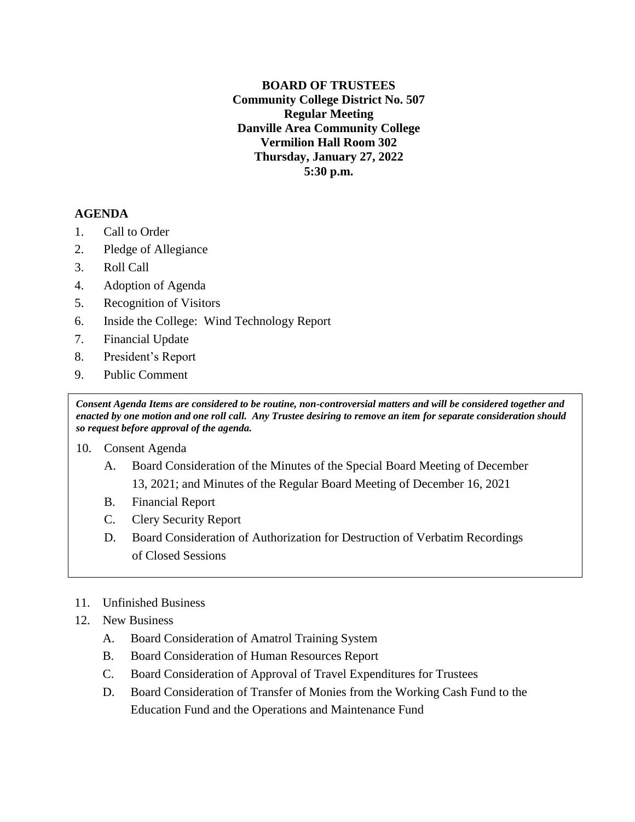**BOARD OF TRUSTEES Community College District No. 507 Regular Meeting Danville Area Community College Vermilion Hall Room 302 Thursday, January 27, 2022 5:30 p.m.**

## **AGENDA**

- 1. Call to Order
- 2. Pledge of Allegiance
- 3. Roll Call
- 4. Adoption of Agenda
- 5. Recognition of Visitors
- 6. Inside the College: Wind Technology Report
- 7. Financial Update
- 8. President's Report
- 9. Public Comment

*Consent Agenda Items are considered to be routine, non-controversial matters and will be considered together and enacted by one motion and one roll call. Any Trustee desiring to remove an item for separate consideration should so request before approval of the agenda.*

- 10. Consent Agenda
	- A. Board Consideration of the Minutes of the Special Board Meeting of December 13, 2021; and Minutes of the Regular Board Meeting of December 16, 2021
	- B. Financial Report
	- C. Clery Security Report
	- D. Board Consideration of Authorization for Destruction of Verbatim Recordings of Closed Sessions
- 11. Unfinished Business
- 12. New Business
	- A. Board Consideration of Amatrol Training System
	- B. Board Consideration of Human Resources Report
	- C. Board Consideration of Approval of Travel Expenditures for Trustees
	- D. Board Consideration of Transfer of Monies from the Working Cash Fund to the Education Fund and the Operations and Maintenance Fund